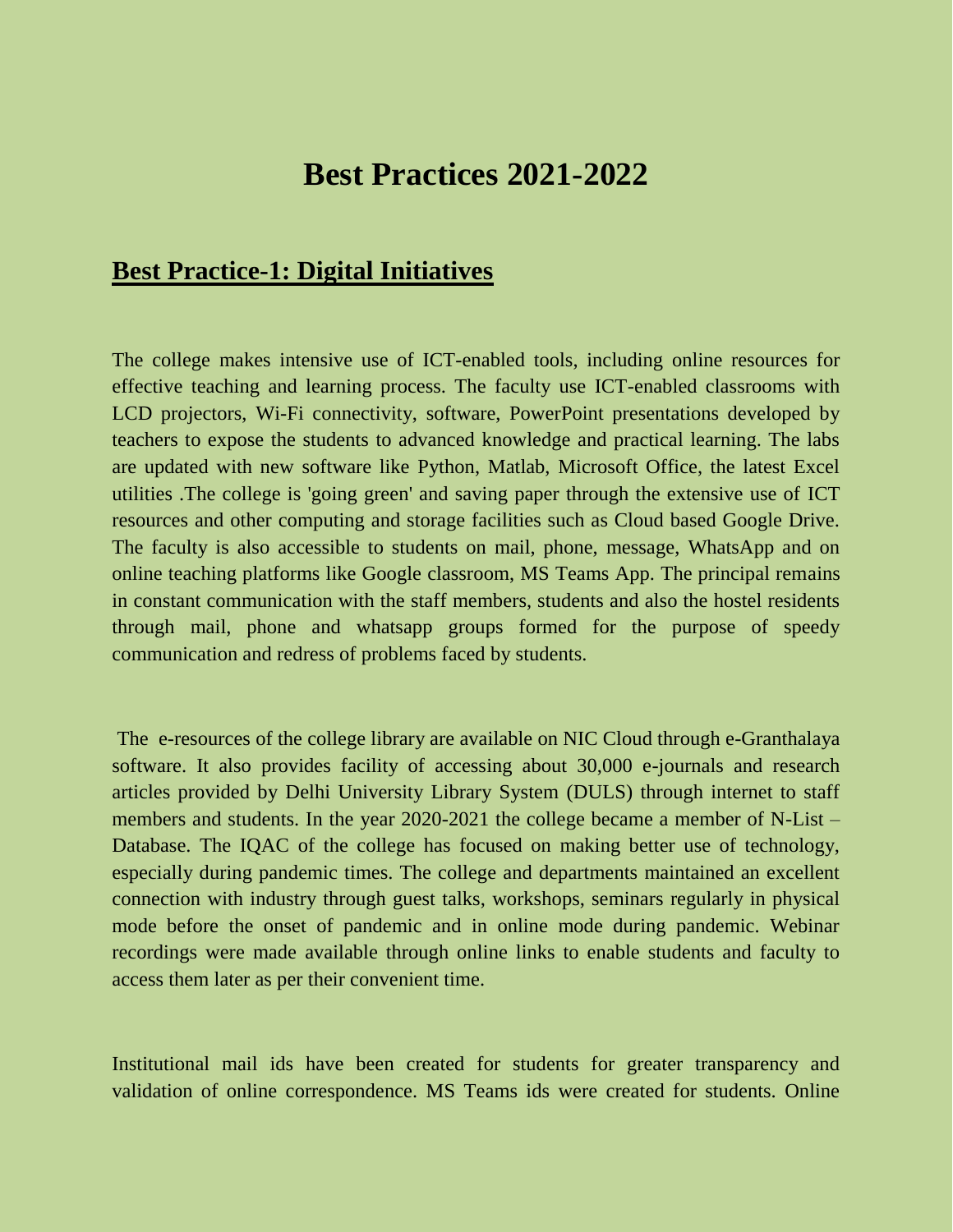## **Best Practices 2021-2022**

## **Best Practice-1: Digital Initiatives**

The college makes intensive use of ICT-enabled tools, including online resources for effective teaching and learning process. The faculty use ICT-enabled classrooms with LCD projectors, Wi-Fi connectivity, software, PowerPoint presentations developed by teachers to expose the students to advanced knowledge and practical learning. The labs are updated with new software like Python, Matlab, Microsoft Office, the latest Excel utilities .The college is 'going green' and saving paper through the extensive use of ICT resources and other computing and storage facilities such as Cloud based Google Drive. The faculty is also accessible to students on mail, phone, message, WhatsApp and on online teaching platforms like Google classroom, MS Teams App. The principal remains in constant communication with the staff members, students and also the hostel residents through mail, phone and whatsapp groups formed for the purpose of speedy communication and redress of problems faced by students.

The e-resources of the college library are available on NIC Cloud through e-Granthalaya software. It also provides facility of accessing about 30,000 e-journals and research articles provided by Delhi University Library System (DULS) through internet to staff members and students. In the year 2020-2021 the college became a member of N-List – Database. The IQAC of the college has focused on making better use of technology, especially during pandemic times. The college and departments maintained an excellent connection with industry through guest talks, workshops, seminars regularly in physical mode before the onset of pandemic and in online mode during pandemic. Webinar recordings were made available through online links to enable students and faculty to access them later as per their convenient time.

Institutional mail ids have been created for students for greater transparency and validation of online correspondence. MS Teams ids were created for students. Online